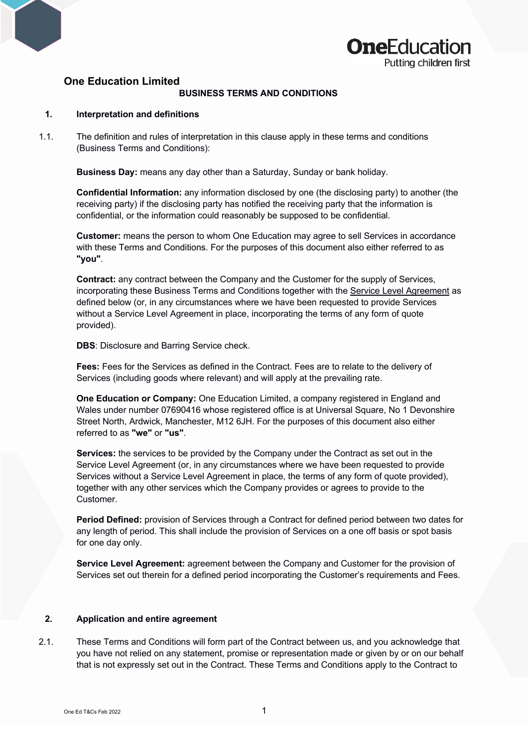



# **One Education Limited**

#### **BUSINESS TERMS AND CONDITIONS**

# **1. Interpretation and definitions**

1.1. The definition and rules of interpretation in this clause apply in these terms and conditions (Business Terms and Conditions):

**Business Day:** means any day other than a Saturday, Sunday or bank holiday.

**Confidential Information:** any information disclosed by one (the disclosing party) to another (the receiving party) if the disclosing party has notified the receiving party that the information is confidential, or the information could reasonably be supposed to be confidential.

**Customer:** means the person to whom One Education may agree to sell Services in accordance with these Terms and Conditions. For the purposes of this document also either referred to as **"you"**.

**Contract:** any contract between the Company and the Customer for the supply of Services, incorporating these Business Terms and Conditions together with the Service Level Agreement as defined below (or, in any circumstances where we have been requested to provide Services without a Service Level Agreement in place, incorporating the terms of any form of quote provided).

**DBS**: Disclosure and Barring Service check.

**Fees:** Fees for the Services as defined in the Contract. Fees are to relate to the delivery of Services (including goods where relevant) and will apply at the prevailing rate.

**One Education or Company:** One Education Limited, a company registered in England and Wales under number 07690416 whose registered office is at Universal Square, No 1 Devonshire Street North, Ardwick, Manchester, M12 6JH. For the purposes of this document also either referred to as **"we"** or **"us"**.

**Services:** the services to be provided by the Company under the Contract as set out in the Service Level Agreement (or, in any circumstances where we have been requested to provide Services without a Service Level Agreement in place, the terms of any form of quote provided), together with any other services which the Company provides or agrees to provide to the Customer.

**Period Defined:** provision of Services through a Contract for defined period between two dates for any length of period. This shall include the provision of Services on a one off basis or spot basis for one day only.

**Service Level Agreement:** agreement between the Company and Customer for the provision of Services set out therein for a defined period incorporating the Customer's requirements and Fees.

# **2. Application and entire agreement**

2.1. These Terms and Conditions will form part of the Contract between us, and you acknowledge that you have not relied on any statement, promise or representation made or given by or on our behalf that is not expressly set out in the Contract. These Terms and Conditions apply to the Contract to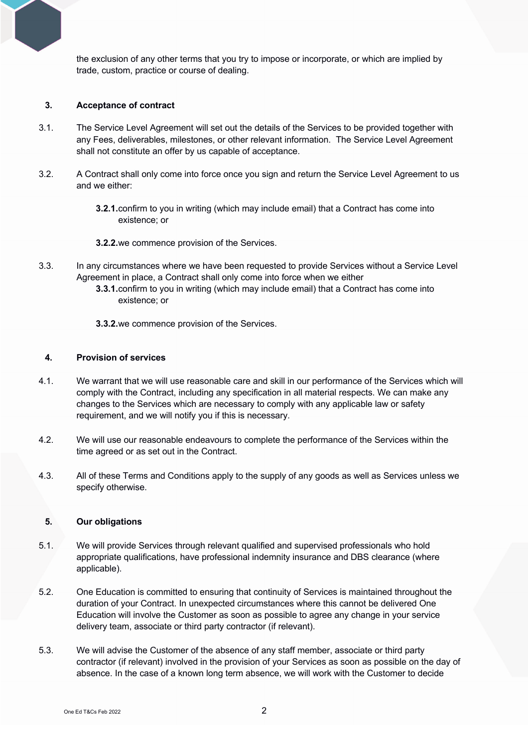the exclusion of any other terms that you try to impose or incorporate, or which are implied by trade, custom, practice or course of dealing.

#### **3. Acceptance of contract**

- 3.1. The Service Level Agreement will set out the details of the Services to be provided together with any Fees, deliverables, milestones, or other relevant information. The Service Level Agreement shall not constitute an offer by us capable of acceptance.
- 3.2. A Contract shall only come into force once you sign and return the Service Level Agreement to us and we either:
	- **3.2.1.**confirm to you in writing (which may include email) that a Contract has come into existence; or
	- **3.2.2.**we commence provision of the Services.
- 3.3. In any circumstances where we have been requested to provide Services without a Service Level Agreement in place, a Contract shall only come into force when we either
	- **3.3.1.**confirm to you in writing (which may include email) that a Contract has come into existence; or
	- **3.3.2.**we commence provision of the Services.

#### **4. Provision of services**

- 4.1. We warrant that we will use reasonable care and skill in our performance of the Services which will comply with the Contract, including any specification in all material respects. We can make any changes to the Services which are necessary to comply with any applicable law or safety requirement, and we will notify you if this is necessary.
- 4.2. We will use our reasonable endeavours to complete the performance of the Services within the time agreed or as set out in the Contract.
- 4.3. All of these Terms and Conditions apply to the supply of any goods as well as Services unless we specify otherwise.

#### **5. Our obligations**

- 5.1. We will provide Services through relevant qualified and supervised professionals who hold appropriate qualifications, have professional indemnity insurance and DBS clearance (where applicable).
- 5.2. One Education is committed to ensuring that continuity of Services is maintained throughout the duration of your Contract. In unexpected circumstances where this cannot be delivered One Education will involve the Customer as soon as possible to agree any change in your service delivery team, associate or third party contractor (if relevant).
- 5.3. We will advise the Customer of the absence of any staff member, associate or third party contractor (if relevant) involved in the provision of your Services as soon as possible on the day of absence. In the case of a known long term absence, we will work with the Customer to decide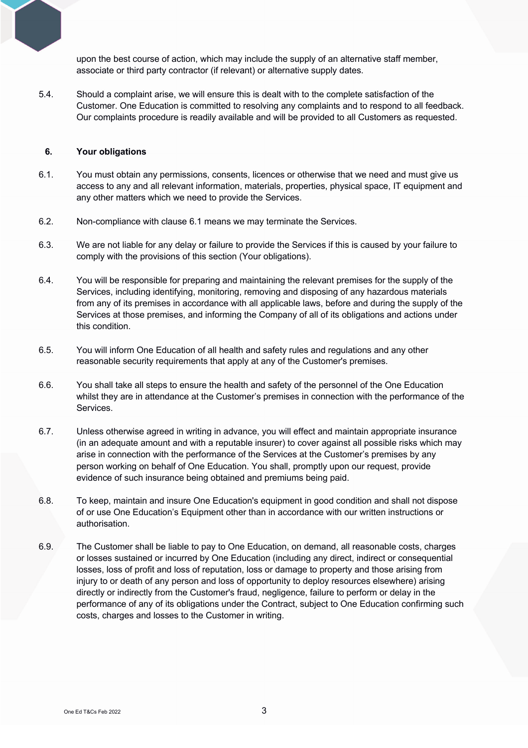upon the best course of action, which may include the supply of an alternative staff member, associate or third party contractor (if relevant) or alternative supply dates.

5.4. Should a complaint arise, we will ensure this is dealt with to the complete satisfaction of the Customer. One Education is committed to resolving any complaints and to respond to all feedback. Our complaints procedure is readily available and will be provided to all Customers as requested.

### **6. Your obligations**

- 6.1. You must obtain any permissions, consents, licences or otherwise that we need and must give us access to any and all relevant information, materials, properties, physical space, IT equipment and any other matters which we need to provide the Services.
- 6.2. Non-compliance with clause 6.1 means we may terminate the Services.
- 6.3. We are not liable for any delay or failure to provide the Services if this is caused by your failure to comply with the provisions of this section (Your obligations).
- 6.4. You will be responsible for preparing and maintaining the relevant premises for the supply of the Services, including identifying, monitoring, removing and disposing of any hazardous materials from any of its premises in accordance with all applicable laws, before and during the supply of the Services at those premises, and informing the Company of all of its obligations and actions under this condition.
- 6.5. You will inform One Education of all health and safety rules and regulations and any other reasonable security requirements that apply at any of the Customer's premises.
- 6.6. You shall take all steps to ensure the health and safety of the personnel of the One Education whilst they are in attendance at the Customer's premises in connection with the performance of the Services.
- 6.7. Unless otherwise agreed in writing in advance, you will effect and maintain appropriate insurance (in an adequate amount and with a reputable insurer) to cover against all possible risks which may arise in connection with the performance of the Services at the Customer's premises by any person working on behalf of One Education. You shall, promptly upon our request, provide evidence of such insurance being obtained and premiums being paid.
- 6.8. To keep, maintain and insure One Education's equipment in good condition and shall not dispose of or use One Education's Equipment other than in accordance with our written instructions or authorisation.
- 6.9. The Customer shall be liable to pay to One Education, on demand, all reasonable costs, charges or losses sustained or incurred by One Education (including any direct, indirect or consequential losses, loss of profit and loss of reputation, loss or damage to property and those arising from injury to or death of any person and loss of opportunity to deploy resources elsewhere) arising directly or indirectly from the Customer's fraud, negligence, failure to perform or delay in the performance of any of its obligations under the Contract, subject to One Education confirming such costs, charges and losses to the Customer in writing.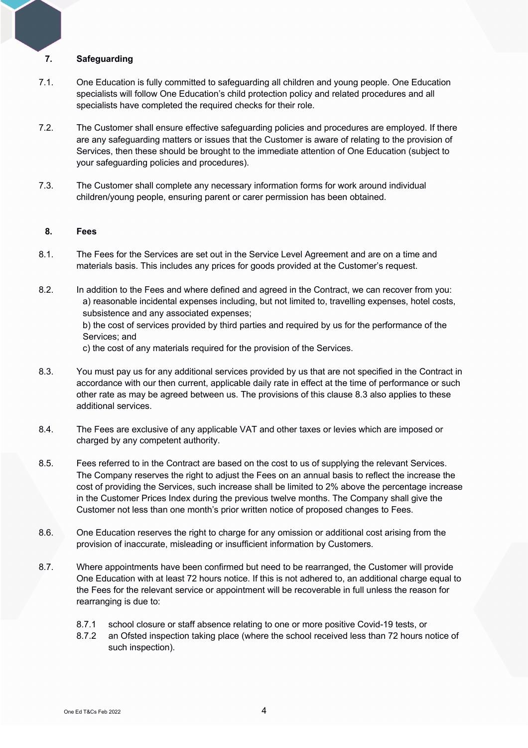# **7. Safeguarding**

- 7.1. One Education is fully committed to safeguarding all children and young people. One Education specialists will follow One Education's child protection policy and related procedures and all specialists have completed the required checks for their role.
- 7.2. The Customer shall ensure effective safeguarding policies and procedures are employed. If there are any safeguarding matters or issues that the Customer is aware of relating to the provision of Services, then these should be brought to the immediate attention of One Education (subject to your safeguarding policies and procedures).
- 7.3. The Customer shall complete any necessary information forms for work around individual children/young people, ensuring parent or carer permission has been obtained.

#### **8. Fees**

- 8.1. The Fees for the Services are set out in the Service Level Agreement and are on a time and materials basis. This includes any prices for goods provided at the Customer's request.
- 8.2. In addition to the Fees and where defined and agreed in the Contract, we can recover from you: a) reasonable incidental expenses including, but not limited to, travelling expenses, hotel costs, subsistence and any associated expenses; b) the cost of services provided by third parties and required by us for the performance of the Services; and c) the cost of any materials required for the provision of the Services.
- 8.3. You must pay us for any additional services provided by us that are not specified in the Contract in accordance with our then current, applicable daily rate in effect at the time of performance or such other rate as may be agreed between us. The provisions of this clause 8.3 also applies to these additional services.
- 8.4. The Fees are exclusive of any applicable VAT and other taxes or levies which are imposed or charged by any competent authority.
- 8.5. Fees referred to in the Contract are based on the cost to us of supplying the relevant Services. The Company reserves the right to adjust the Fees on an annual basis to reflect the increase the cost of providing the Services, such increase shall be limited to 2% above the percentage increase in the Customer Prices Index during the previous twelve months. The Company shall give the Customer not less than one month's prior written notice of proposed changes to Fees.
- 8.6. One Education reserves the right to charge for any omission or additional cost arising from the provision of inaccurate, misleading or insufficient information by Customers.
- 8.7. Where appointments have been confirmed but need to be rearranged, the Customer will provide One Education with at least 72 hours notice. If this is not adhered to, an additional charge equal to the Fees for the relevant service or appointment will be recoverable in full unless the reason for rearranging is due to:
	- 8.7.1 school closure or staff absence relating to one or more positive Covid-19 tests, or
	- 8.7.2 an Ofsted inspection taking place (where the school received less than 72 hours notice of such inspection).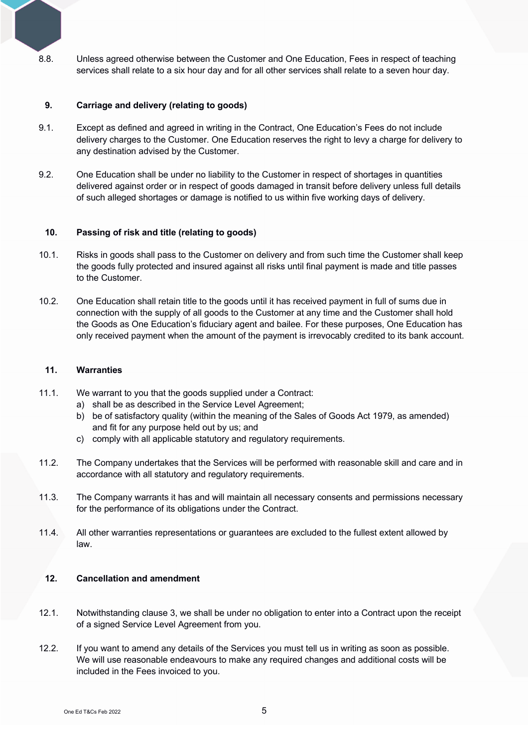8.8. Unless agreed otherwise between the Customer and One Education, Fees in respect of teaching services shall relate to a six hour day and for all other services shall relate to a seven hour day.

#### **9. Carriage and delivery (relating to goods)**

- 9.1. Except as defined and agreed in writing in the Contract, One Education's Fees do not include delivery charges to the Customer. One Education reserves the right to levy a charge for delivery to any destination advised by the Customer.
- 9.2. One Education shall be under no liability to the Customer in respect of shortages in quantities delivered against order or in respect of goods damaged in transit before delivery unless full details of such alleged shortages or damage is notified to us within five working days of delivery.

#### **10. Passing of risk and title (relating to goods)**

- 10.1. Risks in goods shall pass to the Customer on delivery and from such time the Customer shall keep the goods fully protected and insured against all risks until final payment is made and title passes to the Customer.
- 10.2. One Education shall retain title to the goods until it has received payment in full of sums due in connection with the supply of all goods to the Customer at any time and the Customer shall hold the Goods as One Education's fiduciary agent and bailee. For these purposes, One Education has only received payment when the amount of the payment is irrevocably credited to its bank account.

#### **11. Warranties**

- 11.1. We warrant to you that the goods supplied under a Contract:
	- a) shall be as described in the Service Level Agreement;
	- b) be of satisfactory quality (within the meaning of the Sales of Goods Act 1979, as amended) and fit for any purpose held out by us; and
	- c) comply with all applicable statutory and regulatory requirements.
- 11.2. The Company undertakes that the Services will be performed with reasonable skill and care and in accordance with all statutory and regulatory requirements.
- 11.3. The Company warrants it has and will maintain all necessary consents and permissions necessary for the performance of its obligations under the Contract.
- 11.4. All other warranties representations or guarantees are excluded to the fullest extent allowed by law.

# **12. Cancellation and amendment**

- 12.1. Notwithstanding clause 3, we shall be under no obligation to enter into a Contract upon the receipt of a signed Service Level Agreement from you.
- 12.2. If you want to amend any details of the Services you must tell us in writing as soon as possible. We will use reasonable endeavours to make any required changes and additional costs will be included in the Fees invoiced to you.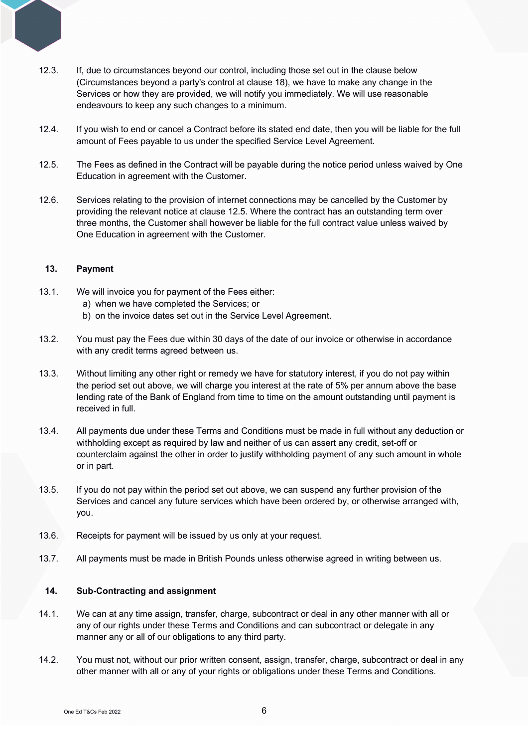- 12.3. If, due to circumstances beyond our control, including those set out in the clause below (Circumstances beyond a party's control at clause 18), we have to make any change in the Services or how they are provided, we will notify you immediately. We will use reasonable endeavours to keep any such changes to a minimum.
- 12.4. If you wish to end or cancel a Contract before its stated end date, then you will be liable for the full amount of Fees payable to us under the specified Service Level Agreement.
- 12.5. The Fees as defined in the Contract will be payable during the notice period unless waived by One Education in agreement with the Customer.
- 12.6. Services relating to the provision of internet connections may be cancelled by the Customer by providing the relevant notice at clause 12.5. Where the contract has an outstanding term over three months, the Customer shall however be liable for the full contract value unless waived by One Education in agreement with the Customer.

#### **13. Payment**

- 13.1. We will invoice you for payment of the Fees either:
	- a) when we have completed the Services; or
	- b) on the invoice dates set out in the Service Level Agreement.
- 13.2. You must pay the Fees due within 30 days of the date of our invoice or otherwise in accordance with any credit terms agreed between us.
- 13.3. Without limiting any other right or remedy we have for statutory interest, if you do not pay within the period set out above, we will charge you interest at the rate of 5% per annum above the base lending rate of the Bank of England from time to time on the amount outstanding until payment is received in full.
- 13.4. All payments due under these Terms and Conditions must be made in full without any deduction or withholding except as required by law and neither of us can assert any credit, set-off or counterclaim against the other in order to justify withholding payment of any such amount in whole or in part.
- 13.5. If you do not pay within the period set out above, we can suspend any further provision of the Services and cancel any future services which have been ordered by, or otherwise arranged with, you.
- 13.6. Receipts for payment will be issued by us only at your request.
- 13.7. All payments must be made in British Pounds unless otherwise agreed in writing between us.

#### **14. Sub-Contracting and assignment**

- 14.1. We can at any time assign, transfer, charge, subcontract or deal in any other manner with all or any of our rights under these Terms and Conditions and can subcontract or delegate in any manner any or all of our obligations to any third party.
- 14.2. You must not, without our prior written consent, assign, transfer, charge, subcontract or deal in any other manner with all or any of your rights or obligations under these Terms and Conditions.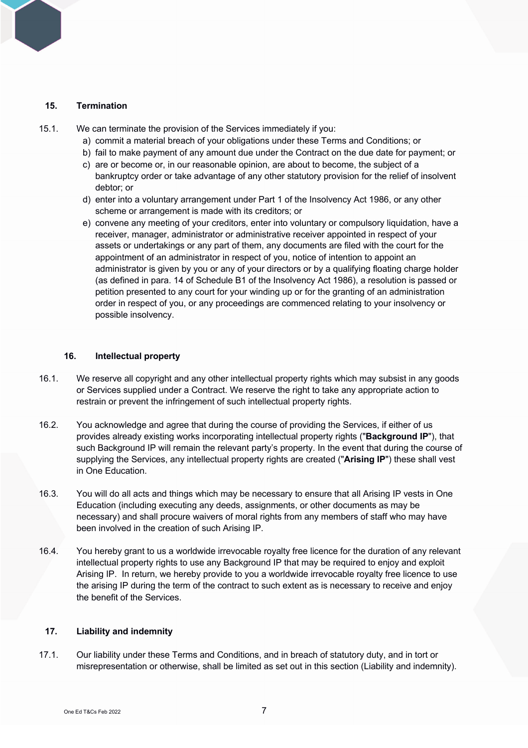#### **15. Termination**

15.1. We can terminate the provision of the Services immediately if you:

- a) commit a material breach of your obligations under these Terms and Conditions; or
- b) fail to make payment of any amount due under the Contract on the due date for payment; or
- c) are or become or, in our reasonable opinion, are about to become, the subject of a bankruptcy order or take advantage of any other statutory provision for the relief of insolvent debtor; or
- d) enter into a voluntary arrangement under Part 1 of the Insolvency Act 1986, or any other scheme or arrangement is made with its creditors; or
- e) convene any meeting of your creditors, enter into voluntary or compulsory liquidation, have a receiver, manager, administrator or administrative receiver appointed in respect of your assets or undertakings or any part of them, any documents are filed with the court for the appointment of an administrator in respect of you, notice of intention to appoint an administrator is given by you or any of your directors or by a qualifying floating charge holder (as defined in para. 14 of Schedule B1 of the Insolvency Act 1986), a resolution is passed or petition presented to any court for your winding up or for the granting of an administration order in respect of you, or any proceedings are commenced relating to your insolvency or possible insolvency.

#### **16. Intellectual property**

- 16.1. We reserve all copyright and any other intellectual property rights which may subsist in any goods or Services supplied under a Contract. We reserve the right to take any appropriate action to restrain or prevent the infringement of such intellectual property rights.
- 16.2. You acknowledge and agree that during the course of providing the Services, if either of us provides already existing works incorporating intellectual property rights ("**Background IP**"), that such Background IP will remain the relevant party's property. In the event that during the course of supplying the Services, any intellectual property rights are created ("**Arising IP**") these shall vest in One Education.
- 16.3. You will do all acts and things which may be necessary to ensure that all Arising IP vests in One Education (including executing any deeds, assignments, or other documents as may be necessary) and shall procure waivers of moral rights from any members of staff who may have been involved in the creation of such Arising IP.
- 16.4. You hereby grant to us a worldwide irrevocable royalty free licence for the duration of any relevant intellectual property rights to use any Background IP that may be required to enjoy and exploit Arising IP. In return, we hereby provide to you a worldwide irrevocable royalty free licence to use the arising IP during the term of the contract to such extent as is necessary to receive and enjoy the benefit of the Services.

#### **17. Liability and indemnity**

17.1. Our liability under these Terms and Conditions, and in breach of statutory duty, and in tort or misrepresentation or otherwise, shall be limited as set out in this section (Liability and indemnity).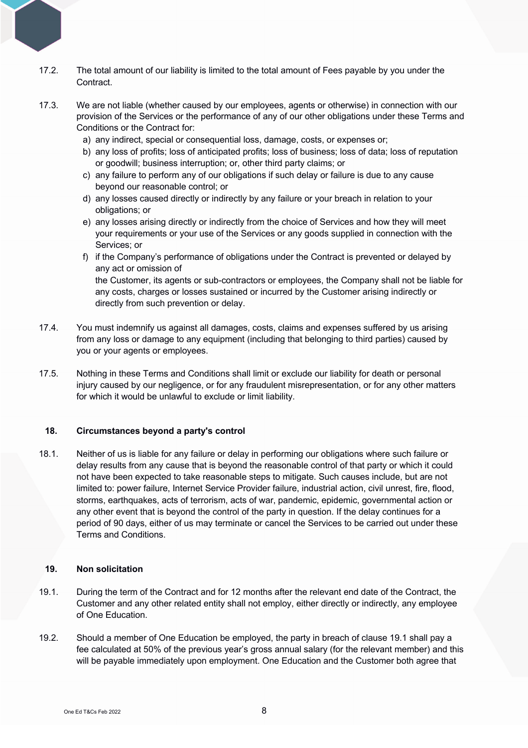- 17.2. The total amount of our liability is limited to the total amount of Fees payable by you under the Contract.
- 17.3. We are not liable (whether caused by our employees, agents or otherwise) in connection with our provision of the Services or the performance of any of our other obligations under these Terms and Conditions or the Contract for:
	- a) any indirect, special or consequential loss, damage, costs, or expenses or;
	- b) any loss of profits; loss of anticipated profits; loss of business; loss of data; loss of reputation or goodwill; business interruption; or, other third party claims; or
	- c) any failure to perform any of our obligations if such delay or failure is due to any cause beyond our reasonable control; or
	- d) any losses caused directly or indirectly by any failure or your breach in relation to your obligations; or
	- e) any losses arising directly or indirectly from the choice of Services and how they will meet your requirements or your use of the Services or any goods supplied in connection with the Services; or
	- f) if the Company's performance of obligations under the Contract is prevented or delayed by any act or omission of the Customer, its agents or sub-contractors or employees, the Company shall not be liable for any costs, charges or losses sustained or incurred by the Customer arising indirectly or
- 17.4. You must indemnify us against all damages, costs, claims and expenses suffered by us arising from any loss or damage to any equipment (including that belonging to third parties) caused by you or your agents or employees.
- 17.5. Nothing in these Terms and Conditions shall limit or exclude our liability for death or personal injury caused by our negligence, or for any fraudulent misrepresentation, or for any other matters for which it would be unlawful to exclude or limit liability.

#### **18. Circumstances beyond a party's control**

directly from such prevention or delay.

18.1. Neither of us is liable for any failure or delay in performing our obligations where such failure or delay results from any cause that is beyond the reasonable control of that party or which it could not have been expected to take reasonable steps to mitigate. Such causes include, but are not limited to: power failure, Internet Service Provider failure, industrial action, civil unrest, fire, flood, storms, earthquakes, acts of terrorism, acts of war, pandemic, epidemic, governmental action or any other event that is beyond the control of the party in question. If the delay continues for a period of 90 days, either of us may terminate or cancel the Services to be carried out under these Terms and Conditions.

#### **19. Non solicitation**

- 19.1. During the term of the Contract and for 12 months after the relevant end date of the Contract, the Customer and any other related entity shall not employ, either directly or indirectly, any employee of One Education.
- 19.2. Should a member of One Education be employed, the party in breach of clause 19.1 shall pay a fee calculated at 50% of the previous year's gross annual salary (for the relevant member) and this will be payable immediately upon employment. One Education and the Customer both agree that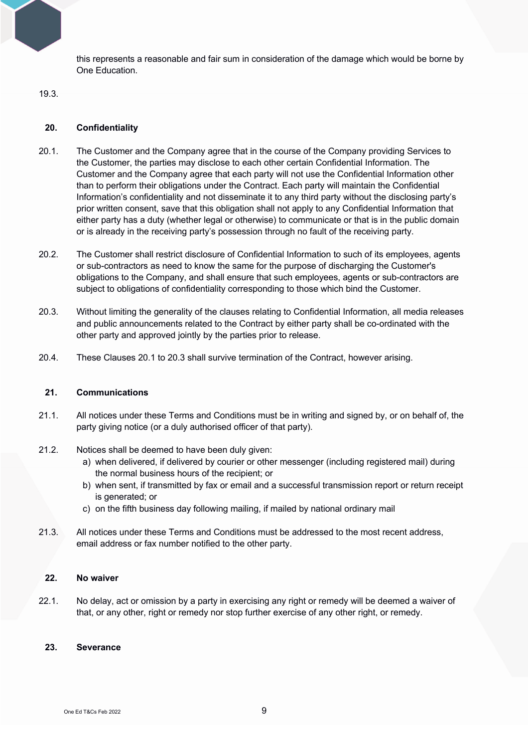this represents a reasonable and fair sum in consideration of the damage which would be borne by One Education.

# 19.3.

# **20. Confidentiality**

- 20.1. The Customer and the Company agree that in the course of the Company providing Services to the Customer, the parties may disclose to each other certain Confidential Information. The Customer and the Company agree that each party will not use the Confidential Information other than to perform their obligations under the Contract. Each party will maintain the Confidential Information's confidentiality and not disseminate it to any third party without the disclosing party's prior written consent, save that this obligation shall not apply to any Confidential Information that either party has a duty (whether legal or otherwise) to communicate or that is in the public domain or is already in the receiving party's possession through no fault of the receiving party.
- 20.2. The Customer shall restrict disclosure of Confidential Information to such of its employees, agents or sub-contractors as need to know the same for the purpose of discharging the Customer's obligations to the Company, and shall ensure that such employees, agents or sub-contractors are subject to obligations of confidentiality corresponding to those which bind the Customer.
- 20.3. Without limiting the generality of the clauses relating to Confidential Information, all media releases and public announcements related to the Contract by either party shall be co-ordinated with the other party and approved jointly by the parties prior to release.
- 20.4. These Clauses 20.1 to 20.3 shall survive termination of the Contract, however arising.

# **21. Communications**

- 21.1. All notices under these Terms and Conditions must be in writing and signed by, or on behalf of, the party giving notice (or a duly authorised officer of that party).
- 21.2. Notices shall be deemed to have been duly given:
	- a) when delivered, if delivered by courier or other messenger (including registered mail) during the normal business hours of the recipient; or
	- b) when sent, if transmitted by fax or email and a successful transmission report or return receipt is generated; or
	- c) on the fifth business day following mailing, if mailed by national ordinary mail
- 21.3. All notices under these Terms and Conditions must be addressed to the most recent address, email address or fax number notified to the other party.

### **22. No waiver**

22.1. No delay, act or omission by a party in exercising any right or remedy will be deemed a waiver of that, or any other, right or remedy nor stop further exercise of any other right, or remedy.

# **23. Severance**